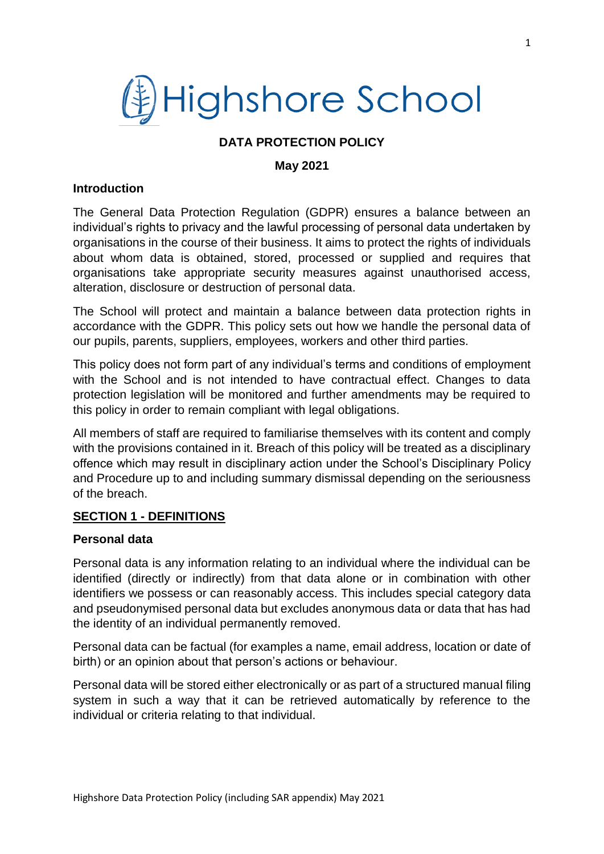# (對Highshore School

## **DATA PROTECTION POLICY**

#### **May 2021**

#### **Introduction**

The General Data Protection Regulation (GDPR) ensures a balance between an individual's rights to privacy and the lawful processing of personal data undertaken by organisations in the course of their business. It aims to protect the rights of individuals about whom data is obtained, stored, processed or supplied and requires that organisations take appropriate security measures against unauthorised access, alteration, disclosure or destruction of personal data.

The School will protect and maintain a balance between data protection rights in accordance with the GDPR. This policy sets out how we handle the personal data of our pupils, parents, suppliers, employees, workers and other third parties.

This policy does not form part of any individual's terms and conditions of employment with the School and is not intended to have contractual effect. Changes to data protection legislation will be monitored and further amendments may be required to this policy in order to remain compliant with legal obligations.

All members of staff are required to familiarise themselves with its content and comply with the provisions contained in it. Breach of this policy will be treated as a disciplinary offence which may result in disciplinary action under the School's Disciplinary Policy and Procedure up to and including summary dismissal depending on the seriousness of the breach.

#### **SECTION 1 - DEFINITIONS**

#### **Personal data**

Personal data is any information relating to an individual where the individual can be identified (directly or indirectly) from that data alone or in combination with other identifiers we possess or can reasonably access. This includes special category data and pseudonymised personal data but excludes anonymous data or data that has had the identity of an individual permanently removed.

Personal data can be factual (for examples a name, email address, location or date of birth) or an opinion about that person's actions or behaviour.

Personal data will be stored either electronically or as part of a structured manual filing system in such a way that it can be retrieved automatically by reference to the individual or criteria relating to that individual.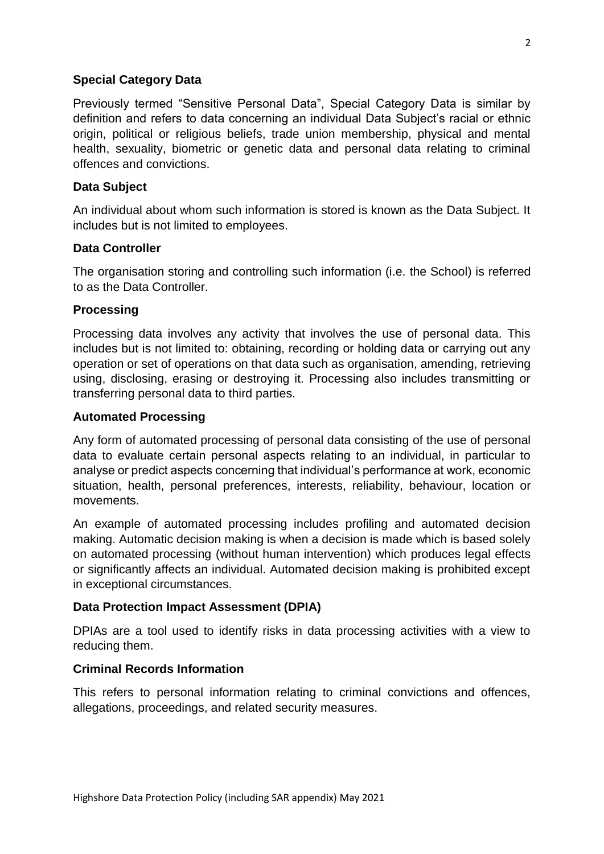#### **Special Category Data**

Previously termed "Sensitive Personal Data", Special Category Data is similar by definition and refers to data concerning an individual Data Subject's racial or ethnic origin, political or religious beliefs, trade union membership, physical and mental health, sexuality, biometric or genetic data and personal data relating to criminal offences and convictions.

#### **Data Subject**

An individual about whom such information is stored is known as the Data Subject. It includes but is not limited to employees.

## **Data Controller**

The organisation storing and controlling such information (i.e. the School) is referred to as the Data Controller.

## **Processing**

Processing data involves any activity that involves the use of personal data. This includes but is not limited to: obtaining, recording or holding data or carrying out any operation or set of operations on that data such as organisation, amending, retrieving using, disclosing, erasing or destroying it. Processing also includes transmitting or transferring personal data to third parties.

#### **Automated Processing**

Any form of automated processing of personal data consisting of the use of personal data to evaluate certain personal aspects relating to an individual, in particular to analyse or predict aspects concerning that individual's performance at work, economic situation, health, personal preferences, interests, reliability, behaviour, location or movements.

An example of automated processing includes profiling and automated decision making. Automatic decision making is when a decision is made which is based solely on automated processing (without human intervention) which produces legal effects or significantly affects an individual. Automated decision making is prohibited except in exceptional circumstances.

# **Data Protection Impact Assessment (DPIA)**

DPIAs are a tool used to identify risks in data processing activities with a view to reducing them.

#### **Criminal Records Information**

This refers to personal information relating to criminal convictions and offences, allegations, proceedings, and related security measures.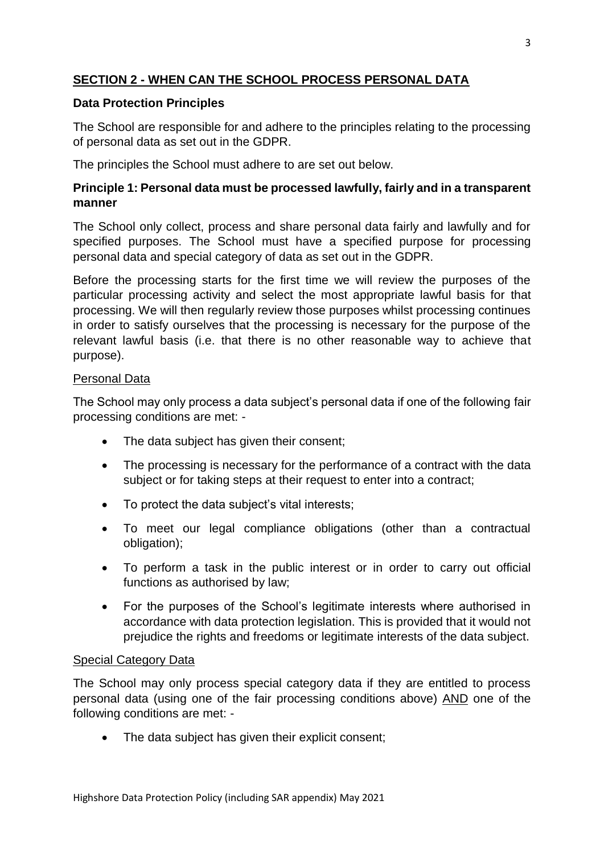# **SECTION 2 - WHEN CAN THE SCHOOL PROCESS PERSONAL DATA**

## **Data Protection Principles**

The School are responsible for and adhere to the principles relating to the processing of personal data as set out in the GDPR.

The principles the School must adhere to are set out below.

## **Principle 1: Personal data must be processed lawfully, fairly and in a transparent manner**

The School only collect, process and share personal data fairly and lawfully and for specified purposes. The School must have a specified purpose for processing personal data and special category of data as set out in the GDPR.

Before the processing starts for the first time we will review the purposes of the particular processing activity and select the most appropriate lawful basis for that processing. We will then regularly review those purposes whilst processing continues in order to satisfy ourselves that the processing is necessary for the purpose of the relevant lawful basis (i.e. that there is no other reasonable way to achieve that purpose).

#### Personal Data

The School may only process a data subject's personal data if one of the following fair processing conditions are met: -

- The data subject has given their consent;
- The processing is necessary for the performance of a contract with the data subject or for taking steps at their request to enter into a contract;
- To protect the data subject's vital interests;
- To meet our legal compliance obligations (other than a contractual obligation);
- To perform a task in the public interest or in order to carry out official functions as authorised by law;
- For the purposes of the School's legitimate interests where authorised in accordance with data protection legislation. This is provided that it would not prejudice the rights and freedoms or legitimate interests of the data subject.

#### Special Category Data

The School may only process special category data if they are entitled to process personal data (using one of the fair processing conditions above) AND one of the following conditions are met: -

• The data subject has given their explicit consent;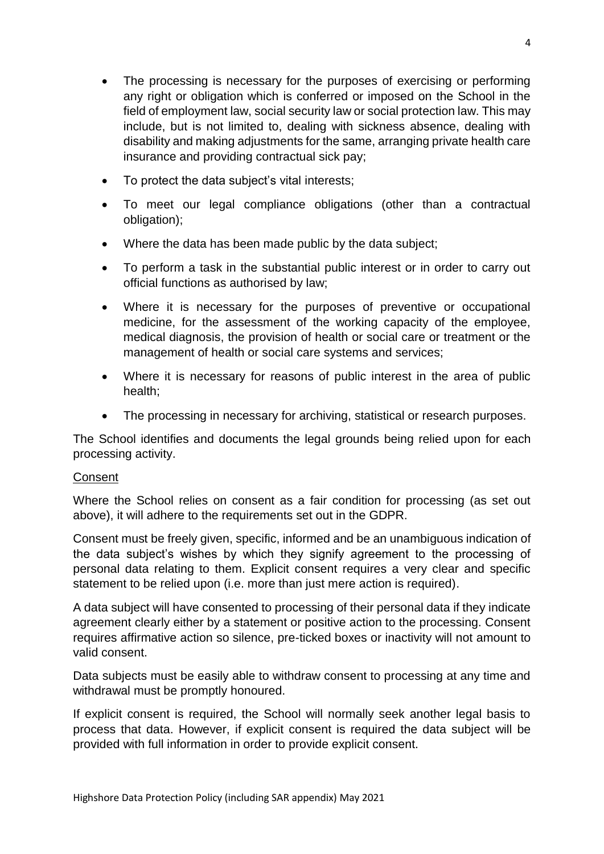- The processing is necessary for the purposes of exercising or performing any right or obligation which is conferred or imposed on the School in the field of employment law, social security law or social protection law. This may include, but is not limited to, dealing with sickness absence, dealing with disability and making adjustments for the same, arranging private health care insurance and providing contractual sick pay;
- To protect the data subject's vital interests;
- To meet our legal compliance obligations (other than a contractual obligation);
- Where the data has been made public by the data subject;
- To perform a task in the substantial public interest or in order to carry out official functions as authorised by law;
- Where it is necessary for the purposes of preventive or occupational medicine, for the assessment of the working capacity of the employee, medical diagnosis, the provision of health or social care or treatment or the management of health or social care systems and services;
- Where it is necessary for reasons of public interest in the area of public health;
- The processing in necessary for archiving, statistical or research purposes.

The School identifies and documents the legal grounds being relied upon for each processing activity.

#### **Consent**

Where the School relies on consent as a fair condition for processing (as set out above), it will adhere to the requirements set out in the GDPR.

Consent must be freely given, specific, informed and be an unambiguous indication of the data subject's wishes by which they signify agreement to the processing of personal data relating to them. Explicit consent requires a very clear and specific statement to be relied upon (i.e. more than just mere action is required).

A data subject will have consented to processing of their personal data if they indicate agreement clearly either by a statement or positive action to the processing. Consent requires affirmative action so silence, pre-ticked boxes or inactivity will not amount to valid consent.

Data subjects must be easily able to withdraw consent to processing at any time and withdrawal must be promptly honoured.

If explicit consent is required, the School will normally seek another legal basis to process that data. However, if explicit consent is required the data subject will be provided with full information in order to provide explicit consent.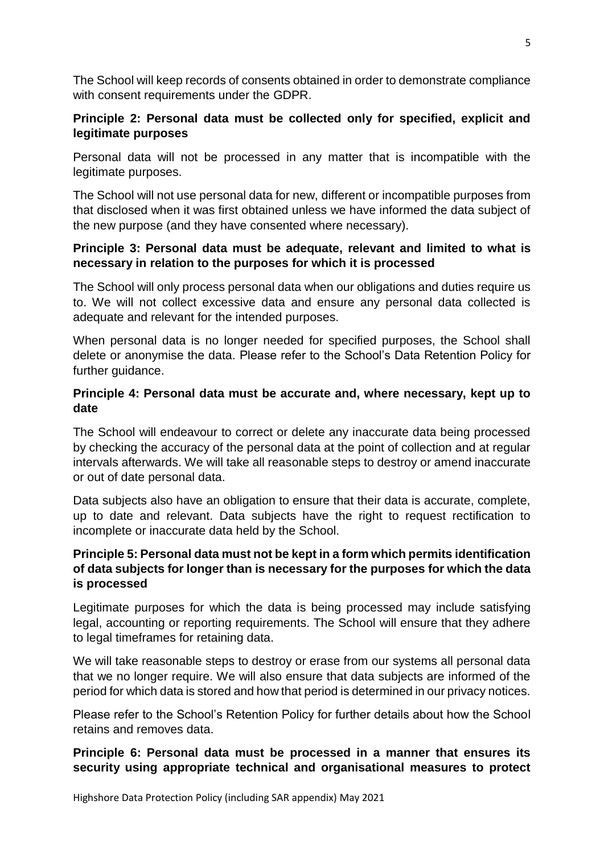The School will keep records of consents obtained in order to demonstrate compliance with consent requirements under the GDPR.

# **Principle 2: Personal data must be collected only for specified, explicit and legitimate purposes**

Personal data will not be processed in any matter that is incompatible with the legitimate purposes.

The School will not use personal data for new, different or incompatible purposes from that disclosed when it was first obtained unless we have informed the data subject of the new purpose (and they have consented where necessary).

## **Principle 3: Personal data must be adequate, relevant and limited to what is necessary in relation to the purposes for which it is processed**

The School will only process personal data when our obligations and duties require us to. We will not collect excessive data and ensure any personal data collected is adequate and relevant for the intended purposes.

When personal data is no longer needed for specified purposes, the School shall delete or anonymise the data. Please refer to the School's Data Retention Policy for further guidance.

# **Principle 4: Personal data must be accurate and, where necessary, kept up to date**

The School will endeavour to correct or delete any inaccurate data being processed by checking the accuracy of the personal data at the point of collection and at regular intervals afterwards. We will take all reasonable steps to destroy or amend inaccurate or out of date personal data.

Data subjects also have an obligation to ensure that their data is accurate, complete, up to date and relevant. Data subjects have the right to request rectification to incomplete or inaccurate data held by the School.

# **Principle 5: Personal data must not be kept in a form which permits identification of data subjects for longer than is necessary for the purposes for which the data is processed**

Legitimate purposes for which the data is being processed may include satisfying legal, accounting or reporting requirements. The School will ensure that they adhere to legal timeframes for retaining data.

We will take reasonable steps to destroy or erase from our systems all personal data that we no longer require. We will also ensure that data subjects are informed of the period for which data is stored and how that period is determined in our privacy notices.

Please refer to the School's Retention Policy for further details about how the School retains and removes data.

# **Principle 6: Personal data must be processed in a manner that ensures its security using appropriate technical and organisational measures to protect**

Highshore Data Protection Policy (including SAR appendix) May 2021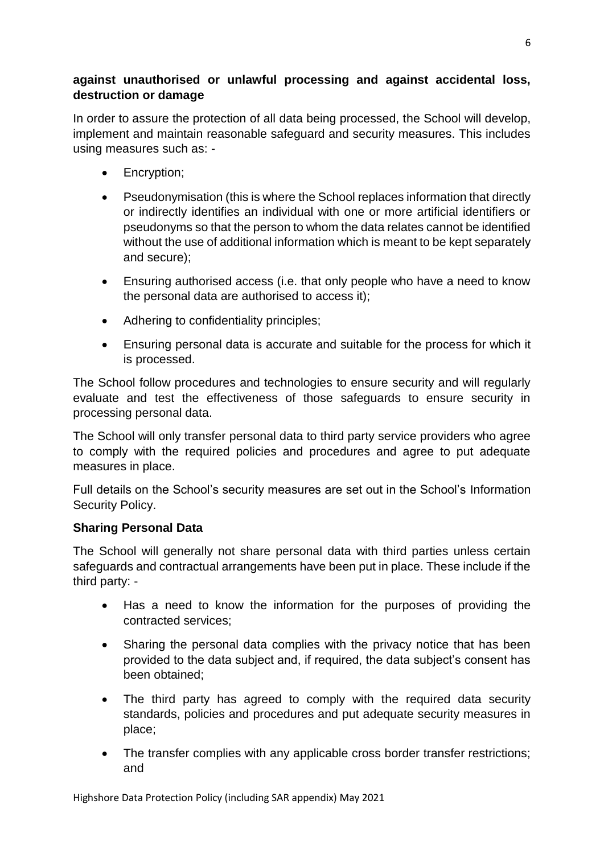## **against unauthorised or unlawful processing and against accidental loss, destruction or damage**

In order to assure the protection of all data being processed, the School will develop, implement and maintain reasonable safeguard and security measures. This includes using measures such as: -

- Encryption;
- Pseudonymisation (this is where the School replaces information that directly or indirectly identifies an individual with one or more artificial identifiers or pseudonyms so that the person to whom the data relates cannot be identified without the use of additional information which is meant to be kept separately and secure);
- Ensuring authorised access (i.e. that only people who have a need to know the personal data are authorised to access it);
- Adhering to confidentiality principles;
- Ensuring personal data is accurate and suitable for the process for which it is processed.

The School follow procedures and technologies to ensure security and will regularly evaluate and test the effectiveness of those safeguards to ensure security in processing personal data.

The School will only transfer personal data to third party service providers who agree to comply with the required policies and procedures and agree to put adequate measures in place.

Full details on the School's security measures are set out in the School's Information Security Policy.

# **Sharing Personal Data**

The School will generally not share personal data with third parties unless certain safeguards and contractual arrangements have been put in place. These include if the third party: -

- Has a need to know the information for the purposes of providing the contracted services;
- Sharing the personal data complies with the privacy notice that has been provided to the data subject and, if required, the data subject's consent has been obtained;
- The third party has agreed to comply with the required data security standards, policies and procedures and put adequate security measures in place;
- The transfer complies with any applicable cross border transfer restrictions; and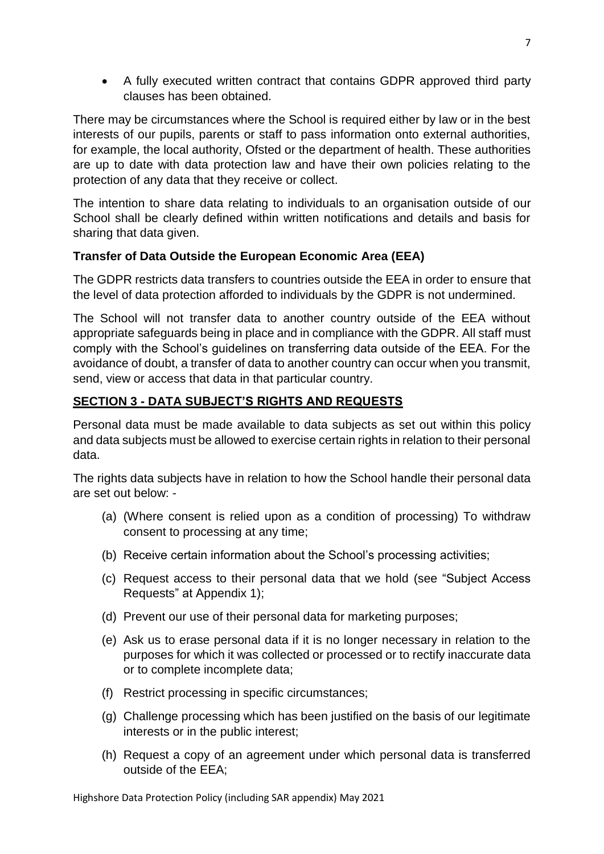A fully executed written contract that contains GDPR approved third party clauses has been obtained.

There may be circumstances where the School is required either by law or in the best interests of our pupils, parents or staff to pass information onto external authorities, for example, the local authority, Ofsted or the department of health. These authorities are up to date with data protection law and have their own policies relating to the protection of any data that they receive or collect.

The intention to share data relating to individuals to an organisation outside of our School shall be clearly defined within written notifications and details and basis for sharing that data given.

# **Transfer of Data Outside the European Economic Area (EEA)**

The GDPR restricts data transfers to countries outside the EEA in order to ensure that the level of data protection afforded to individuals by the GDPR is not undermined.

The School will not transfer data to another country outside of the EEA without appropriate safeguards being in place and in compliance with the GDPR. All staff must comply with the School's guidelines on transferring data outside of the EEA. For the avoidance of doubt, a transfer of data to another country can occur when you transmit, send, view or access that data in that particular country.

# **SECTION 3 - DATA SUBJECT'S RIGHTS AND REQUESTS**

Personal data must be made available to data subjects as set out within this policy and data subjects must be allowed to exercise certain rights in relation to their personal data.

The rights data subjects have in relation to how the School handle their personal data are set out below: -

- (a) (Where consent is relied upon as a condition of processing) To withdraw consent to processing at any time;
- (b) Receive certain information about the School's processing activities;
- (c) Request access to their personal data that we hold (see "Subject Access Requests" at Appendix 1);
- (d) Prevent our use of their personal data for marketing purposes;
- (e) Ask us to erase personal data if it is no longer necessary in relation to the purposes for which it was collected or processed or to rectify inaccurate data or to complete incomplete data;
- (f) Restrict processing in specific circumstances;
- (g) Challenge processing which has been justified on the basis of our legitimate interests or in the public interest;
- (h) Request a copy of an agreement under which personal data is transferred outside of the EEA;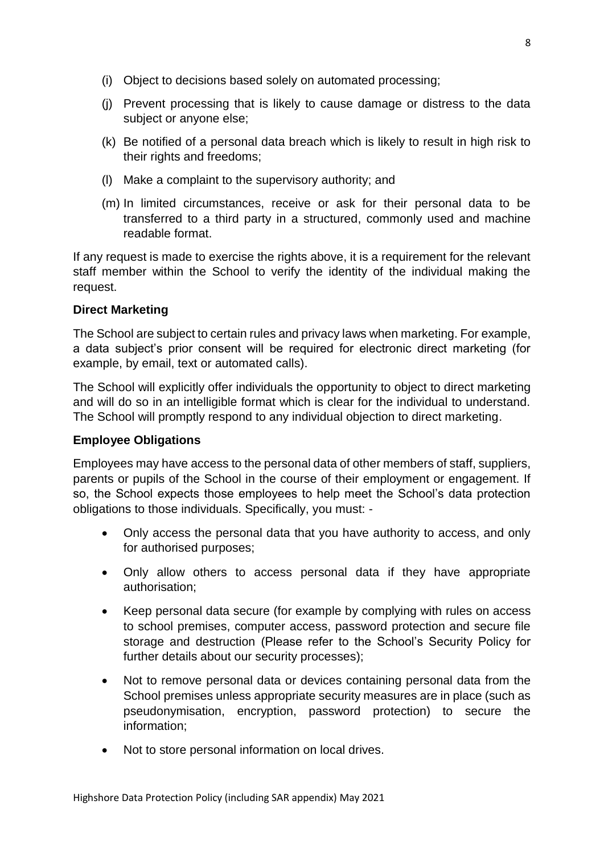- (i) Object to decisions based solely on automated processing;
- (j) Prevent processing that is likely to cause damage or distress to the data subject or anyone else;
- (k) Be notified of a personal data breach which is likely to result in high risk to their rights and freedoms;
- (l) Make a complaint to the supervisory authority; and
- (m) In limited circumstances, receive or ask for their personal data to be transferred to a third party in a structured, commonly used and machine readable format.

If any request is made to exercise the rights above, it is a requirement for the relevant staff member within the School to verify the identity of the individual making the request.

#### **Direct Marketing**

The School are subject to certain rules and privacy laws when marketing. For example, a data subject's prior consent will be required for electronic direct marketing (for example, by email, text or automated calls).

The School will explicitly offer individuals the opportunity to object to direct marketing and will do so in an intelligible format which is clear for the individual to understand. The School will promptly respond to any individual objection to direct marketing.

#### **Employee Obligations**

Employees may have access to the personal data of other members of staff, suppliers, parents or pupils of the School in the course of their employment or engagement. If so, the School expects those employees to help meet the School's data protection obligations to those individuals. Specifically, you must: -

- Only access the personal data that you have authority to access, and only for authorised purposes;
- Only allow others to access personal data if they have appropriate authorisation;
- Keep personal data secure (for example by complying with rules on access to school premises, computer access, password protection and secure file storage and destruction (Please refer to the School's Security Policy for further details about our security processes);
- Not to remove personal data or devices containing personal data from the School premises unless appropriate security measures are in place (such as pseudonymisation, encryption, password protection) to secure the information;
- Not to store personal information on local drives.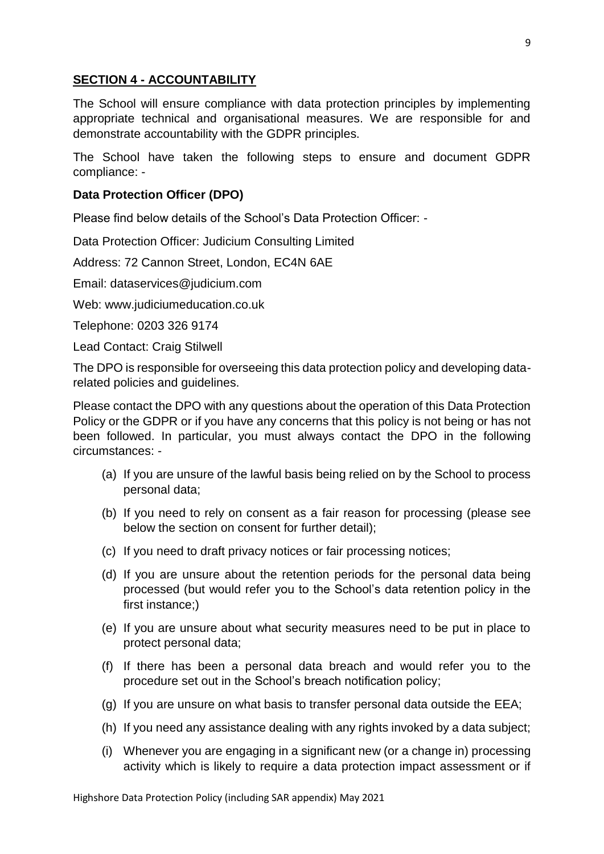## **SECTION 4 - ACCOUNTABILITY**

The School will ensure compliance with data protection principles by implementing appropriate technical and organisational measures. We are responsible for and demonstrate accountability with the GDPR principles.

The School have taken the following steps to ensure and document GDPR compliance: -

#### **Data Protection Officer (DPO)**

Please find below details of the School's Data Protection Officer: -

Data Protection Officer: Judicium Consulting Limited

Address: 72 Cannon Street, London, EC4N 6AE

Email: [dataservices@judicium.com](mailto:dataservices@judicium.com)

Web: www.judiciumeducation.co.uk

Telephone: 0203 326 9174

Lead Contact: Craig Stilwell

The DPO is responsible for overseeing this data protection policy and developing datarelated policies and guidelines.

Please contact the DPO with any questions about the operation of this Data Protection Policy or the GDPR or if you have any concerns that this policy is not being or has not been followed. In particular, you must always contact the DPO in the following circumstances: -

- (a) If you are unsure of the lawful basis being relied on by the School to process personal data;
- (b) If you need to rely on consent as a fair reason for processing (please see below the section on consent for further detail);
- (c) If you need to draft privacy notices or fair processing notices;
- (d) If you are unsure about the retention periods for the personal data being processed (but would refer you to the School's data retention policy in the first instance;)
- (e) If you are unsure about what security measures need to be put in place to protect personal data;
- (f) If there has been a personal data breach and would refer you to the procedure set out in the School's breach notification policy;
- (g) If you are unsure on what basis to transfer personal data outside the EEA;
- (h) If you need any assistance dealing with any rights invoked by a data subject;
- (i) Whenever you are engaging in a significant new (or a change in) processing activity which is likely to require a data protection impact assessment or if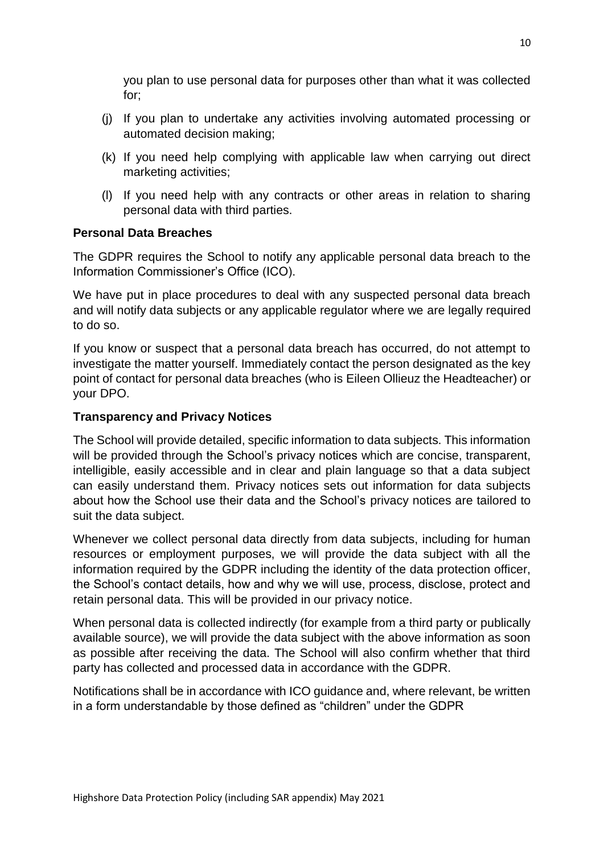you plan to use personal data for purposes other than what it was collected for;

- (j) If you plan to undertake any activities involving automated processing or automated decision making;
- (k) If you need help complying with applicable law when carrying out direct marketing activities;
- (l) If you need help with any contracts or other areas in relation to sharing personal data with third parties.

#### **Personal Data Breaches**

The GDPR requires the School to notify any applicable personal data breach to the Information Commissioner's Office (ICO).

We have put in place procedures to deal with any suspected personal data breach and will notify data subjects or any applicable regulator where we are legally required to do so.

If you know or suspect that a personal data breach has occurred, do not attempt to investigate the matter yourself. Immediately contact the person designated as the key point of contact for personal data breaches (who is Eileen Ollieuz the Headteacher) or your DPO.

## **Transparency and Privacy Notices**

The School will provide detailed, specific information to data subjects. This information will be provided through the School's privacy notices which are concise, transparent, intelligible, easily accessible and in clear and plain language so that a data subject can easily understand them. Privacy notices sets out information for data subjects about how the School use their data and the School's privacy notices are tailored to suit the data subject.

Whenever we collect personal data directly from data subjects, including for human resources or employment purposes, we will provide the data subject with all the information required by the GDPR including the identity of the data protection officer, the School's contact details, how and why we will use, process, disclose, protect and retain personal data. This will be provided in our privacy notice.

When personal data is collected indirectly (for example from a third party or publically available source), we will provide the data subject with the above information as soon as possible after receiving the data. The School will also confirm whether that third party has collected and processed data in accordance with the GDPR.

Notifications shall be in accordance with ICO guidance and, where relevant, be written in a form understandable by those defined as "children" under the GDPR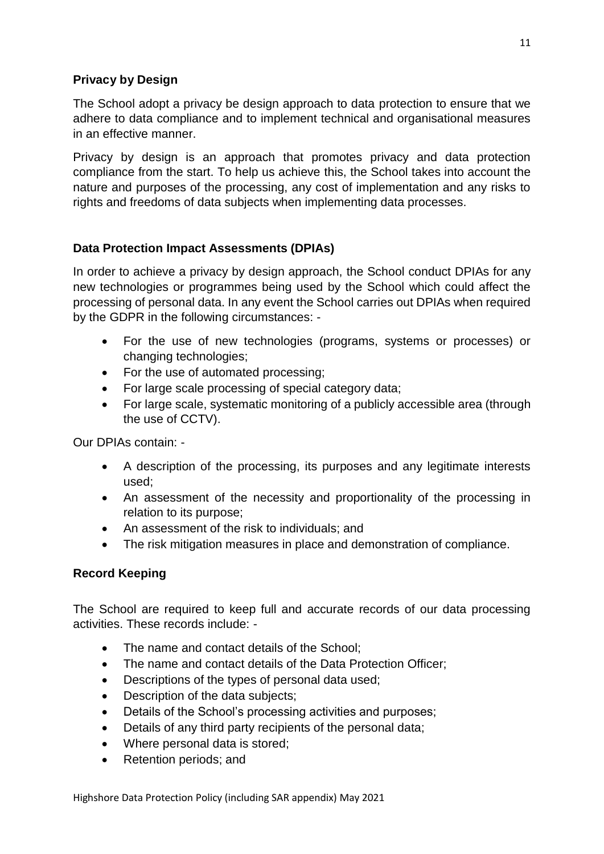# **Privacy by Design**

The School adopt a privacy be design approach to data protection to ensure that we adhere to data compliance and to implement technical and organisational measures in an effective manner.

Privacy by design is an approach that promotes privacy and data protection compliance from the start. To help us achieve this, the School takes into account the nature and purposes of the processing, any cost of implementation and any risks to rights and freedoms of data subjects when implementing data processes.

# **Data Protection Impact Assessments (DPIAs)**

In order to achieve a privacy by design approach, the School conduct DPIAs for any new technologies or programmes being used by the School which could affect the processing of personal data. In any event the School carries out DPIAs when required by the GDPR in the following circumstances: -

- For the use of new technologies (programs, systems or processes) or changing technologies;
- For the use of automated processing;
- For large scale processing of special category data;
- For large scale, systematic monitoring of a publicly accessible area (through the use of CCTV).

Our DPIAs contain: -

- A description of the processing, its purposes and any legitimate interests used;
- An assessment of the necessity and proportionality of the processing in relation to its purpose;
- An assessment of the risk to individuals; and
- The risk mitigation measures in place and demonstration of compliance.

# **Record Keeping**

The School are required to keep full and accurate records of our data processing activities. These records include: -

- The name and contact details of the School;
- The name and contact details of the Data Protection Officer;
- Descriptions of the types of personal data used;
- Description of the data subjects;
- Details of the School's processing activities and purposes;
- Details of any third party recipients of the personal data;
- Where personal data is stored:
- Retention periods; and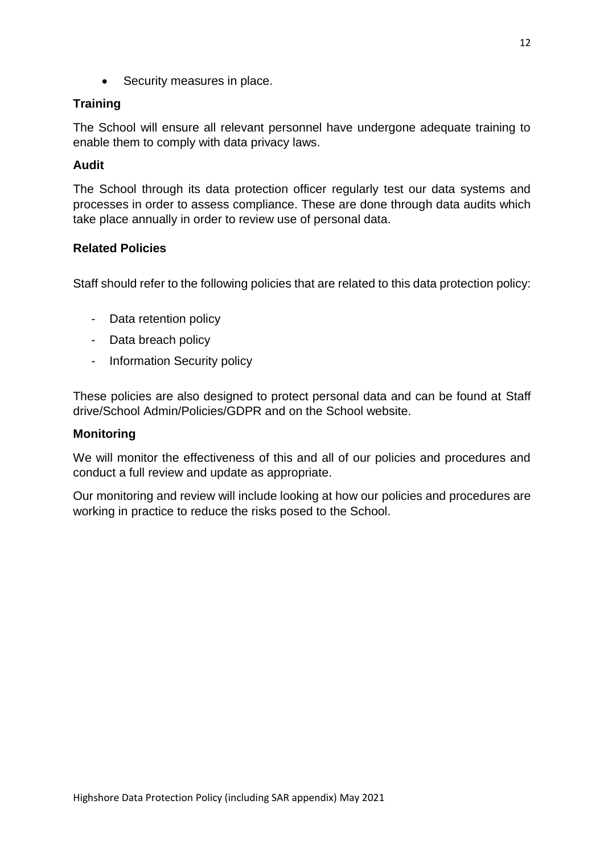• Security measures in place.

## **Training**

The School will ensure all relevant personnel have undergone adequate training to enable them to comply with data privacy laws.

## **Audit**

The School through its data protection officer regularly test our data systems and processes in order to assess compliance. These are done through data audits which take place annually in order to review use of personal data.

## **Related Policies**

Staff should refer to the following policies that are related to this data protection policy:

- Data retention policy
- Data breach policy
- Information Security policy

These policies are also designed to protect personal data and can be found at Staff drive/School Admin/Policies/GDPR and on the School website.

#### **Monitoring**

We will monitor the effectiveness of this and all of our policies and procedures and conduct a full review and update as appropriate.

Our monitoring and review will include looking at how our policies and procedures are working in practice to reduce the risks posed to the School.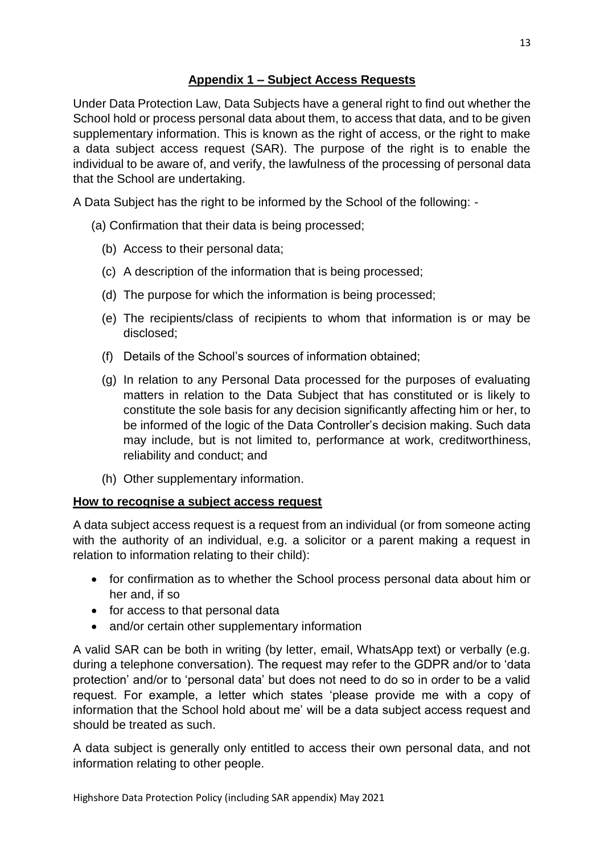# **Appendix 1 – Subject Access Requests**

Under Data Protection Law, Data Subjects have a general right to find out whether the School hold or process personal data about them, to access that data, and to be given supplementary information. This is known as the right of access, or the right to make a data subject access request (SAR). The purpose of the right is to enable the individual to be aware of, and verify, the lawfulness of the processing of personal data that the School are undertaking.

A Data Subject has the right to be informed by the School of the following: -

- (a) Confirmation that their data is being processed;
	- (b) Access to their personal data;
	- (c) A description of the information that is being processed;
	- (d) The purpose for which the information is being processed;
	- (e) The recipients/class of recipients to whom that information is or may be disclosed;
	- (f) Details of the School's sources of information obtained;
	- (g) In relation to any Personal Data processed for the purposes of evaluating matters in relation to the Data Subject that has constituted or is likely to constitute the sole basis for any decision significantly affecting him or her, to be informed of the logic of the Data Controller's decision making. Such data may include, but is not limited to, performance at work, creditworthiness, reliability and conduct; and
	- (h) Other supplementary information.

# **How to recognise a subject access request**

A data subject access request is a request from an individual (or from someone acting with the authority of an individual, e.g. a solicitor or a parent making a request in relation to information relating to their child):

- for confirmation as to whether the School process personal data about him or her and, if so
- for access to that personal data
- and/or certain other supplementary information

A valid SAR can be both in writing (by letter, email, WhatsApp text) or verbally (e.g. during a telephone conversation). The request may refer to the GDPR and/or to 'data protection' and/or to 'personal data' but does not need to do so in order to be a valid request. For example, a letter which states 'please provide me with a copy of information that the School hold about me' will be a data subject access request and should be treated as such.

A data subject is generally only entitled to access their own personal data, and not information relating to other people.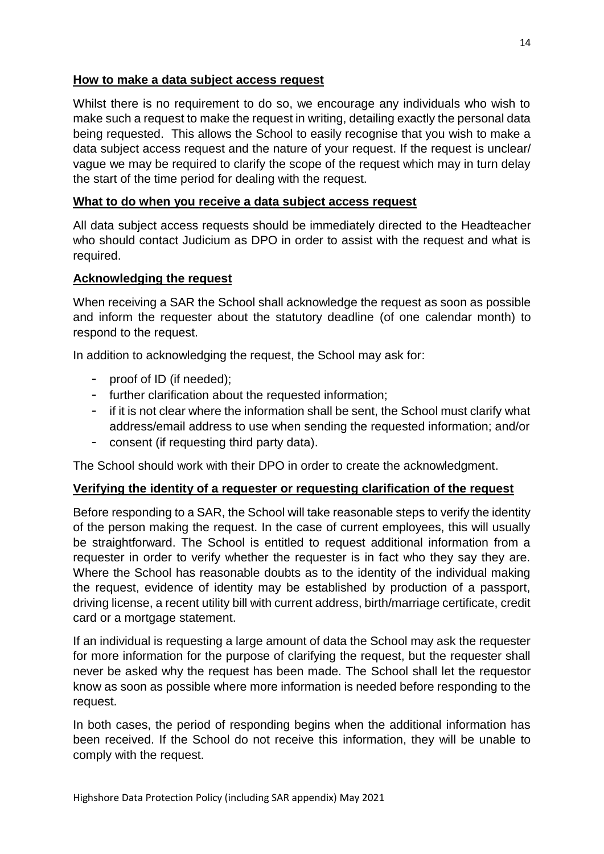#### **How to make a data subject access request**

Whilst there is no requirement to do so, we encourage any individuals who wish to make such a request to make the request in writing, detailing exactly the personal data being requested. This allows the School to easily recognise that you wish to make a data subject access request and the nature of your request. If the request is unclear/ vague we may be required to clarify the scope of the request which may in turn delay the start of the time period for dealing with the request.

#### **What to do when you receive a data subject access request**

All data subject access requests should be immediately directed to the Headteacher who should contact Judicium as DPO in order to assist with the request and what is required.

## **Acknowledging the request**

When receiving a SAR the School shall acknowledge the request as soon as possible and inform the requester about the statutory deadline (of one calendar month) to respond to the request.

In addition to acknowledging the request, the School may ask for:

- proof of ID (if needed);
- further clarification about the requested information;
- if it is not clear where the information shall be sent, the School must clarify what address/email address to use when sending the requested information; and/or
- consent (if requesting third party data).

The School should work with their DPO in order to create the acknowledgment.

# **Verifying the identity of a requester or requesting clarification of the request**

Before responding to a SAR, the School will take reasonable steps to verify the identity of the person making the request. In the case of current employees, this will usually be straightforward. The School is entitled to request additional information from a requester in order to verify whether the requester is in fact who they say they are. Where the School has reasonable doubts as to the identity of the individual making the request, evidence of identity may be established by production of a passport, driving license, a recent utility bill with current address, birth/marriage certificate, credit card or a mortgage statement.

If an individual is requesting a large amount of data the School may ask the requester for more information for the purpose of clarifying the request, but the requester shall never be asked why the request has been made. The School shall let the requestor know as soon as possible where more information is needed before responding to the request.

In both cases, the period of responding begins when the additional information has been received. If the School do not receive this information, they will be unable to comply with the request.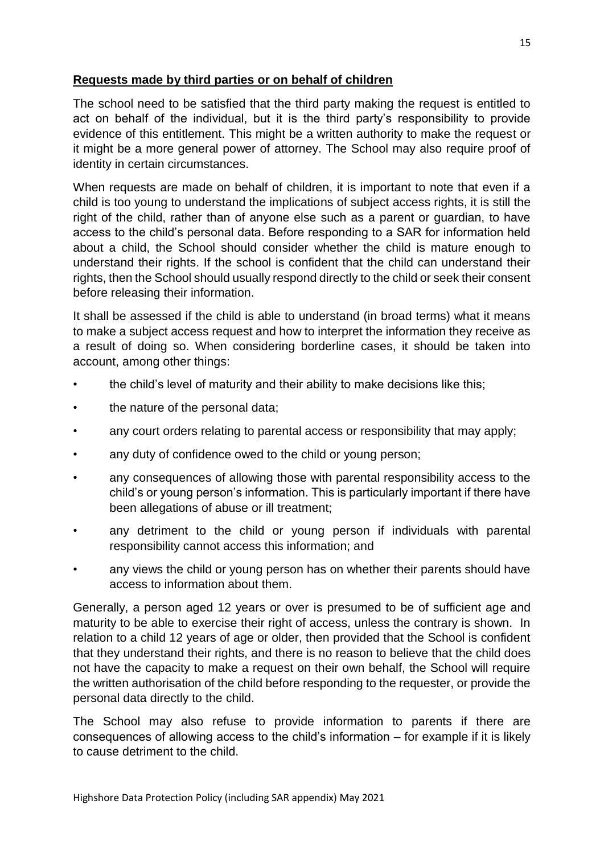# **Requests made by third parties or on behalf of children**

The school need to be satisfied that the third party making the request is entitled to act on behalf of the individual, but it is the third party's responsibility to provide evidence of this entitlement. This might be a written authority to make the request or it might be a more general power of attorney. The School may also require proof of identity in certain circumstances.

When requests are made on behalf of children, it is important to note that even if a child is too young to understand the implications of subject access rights, it is still the right of the child, rather than of anyone else such as a parent or guardian, to have access to the child's personal data. Before responding to a SAR for information held about a child, the School should consider whether the child is mature enough to understand their rights. If the school is confident that the child can understand their rights, then the School should usually respond directly to the child or seek their consent before releasing their information.

It shall be assessed if the child is able to understand (in broad terms) what it means to make a subject access request and how to interpret the information they receive as a result of doing so. When considering borderline cases, it should be taken into account, among other things:

- the child's level of maturity and their ability to make decisions like this;
- the nature of the personal data;
- any court orders relating to parental access or responsibility that may apply;
- any duty of confidence owed to the child or young person;
- any consequences of allowing those with parental responsibility access to the child's or young person's information. This is particularly important if there have been allegations of abuse or ill treatment;
- any detriment to the child or young person if individuals with parental responsibility cannot access this information; and
- any views the child or young person has on whether their parents should have access to information about them.

Generally, a person aged 12 years or over is presumed to be of sufficient age and maturity to be able to exercise their right of access, unless the contrary is shown. In relation to a child 12 years of age or older, then provided that the School is confident that they understand their rights, and there is no reason to believe that the child does not have the capacity to make a request on their own behalf, the School will require the written authorisation of the child before responding to the requester, or provide the personal data directly to the child.

The School may also refuse to provide information to parents if there are consequences of allowing access to the child's information – for example if it is likely to cause detriment to the child.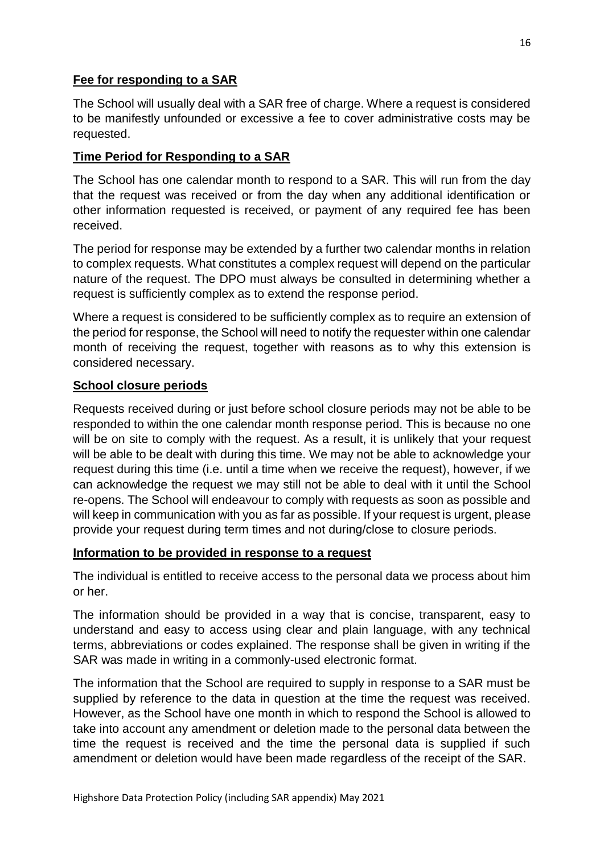## **Fee for responding to a SAR**

The School will usually deal with a SAR free of charge. Where a request is considered to be manifestly unfounded or excessive a fee to cover administrative costs may be requested.

## **Time Period for Responding to a SAR**

The School has one calendar month to respond to a SAR. This will run from the day that the request was received or from the day when any additional identification or other information requested is received, or payment of any required fee has been received.

The period for response may be extended by a further two calendar months in relation to complex requests. What constitutes a complex request will depend on the particular nature of the request. The DPO must always be consulted in determining whether a request is sufficiently complex as to extend the response period.

Where a request is considered to be sufficiently complex as to require an extension of the period for response, the School will need to notify the requester within one calendar month of receiving the request, together with reasons as to why this extension is considered necessary.

#### **School closure periods**

Requests received during or just before school closure periods may not be able to be responded to within the one calendar month response period. This is because no one will be on site to comply with the request. As a result, it is unlikely that your request will be able to be dealt with during this time. We may not be able to acknowledge your request during this time (i.e. until a time when we receive the request), however, if we can acknowledge the request we may still not be able to deal with it until the School re-opens. The School will endeavour to comply with requests as soon as possible and will keep in communication with you as far as possible. If your request is urgent, please provide your request during term times and not during/close to closure periods.

#### **Information to be provided in response to a request**

The individual is entitled to receive access to the personal data we process about him or her.

The information should be provided in a way that is concise, transparent, easy to understand and easy to access using clear and plain language, with any technical terms, abbreviations or codes explained. The response shall be given in writing if the SAR was made in writing in a commonly-used electronic format.

The information that the School are required to supply in response to a SAR must be supplied by reference to the data in question at the time the request was received. However, as the School have one month in which to respond the School is allowed to take into account any amendment or deletion made to the personal data between the time the request is received and the time the personal data is supplied if such amendment or deletion would have been made regardless of the receipt of the SAR.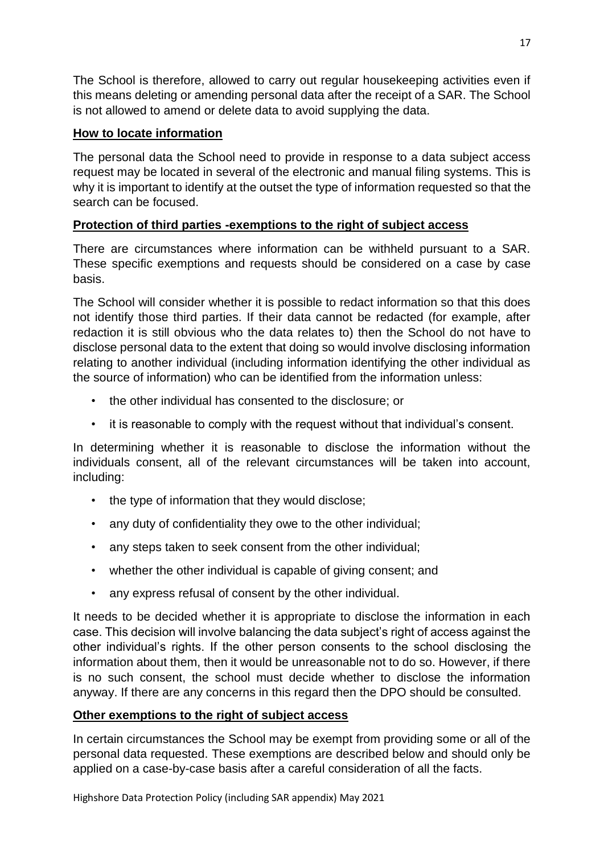The School is therefore, allowed to carry out regular housekeeping activities even if this means deleting or amending personal data after the receipt of a SAR. The School is not allowed to amend or delete data to avoid supplying the data.

# **How to locate information**

The personal data the School need to provide in response to a data subject access request may be located in several of the electronic and manual filing systems. This is why it is important to identify at the outset the type of information requested so that the search can be focused.

# **Protection of third parties -exemptions to the right of subject access**

There are circumstances where information can be withheld pursuant to a SAR. These specific exemptions and requests should be considered on a case by case basis.

The School will consider whether it is possible to redact information so that this does not identify those third parties. If their data cannot be redacted (for example, after redaction it is still obvious who the data relates to) then the School do not have to disclose personal data to the extent that doing so would involve disclosing information relating to another individual (including information identifying the other individual as the source of information) who can be identified from the information unless:

- the other individual has consented to the disclosure; or
- it is reasonable to comply with the request without that individual's consent.

In determining whether it is reasonable to disclose the information without the individuals consent, all of the relevant circumstances will be taken into account, including:

- the type of information that they would disclose;
- any duty of confidentiality they owe to the other individual;
- any steps taken to seek consent from the other individual;
- whether the other individual is capable of giving consent; and
- any express refusal of consent by the other individual.

It needs to be decided whether it is appropriate to disclose the information in each case. This decision will involve balancing the data subject's right of access against the other individual's rights. If the other person consents to the school disclosing the information about them, then it would be unreasonable not to do so. However, if there is no such consent, the school must decide whether to disclose the information anyway. If there are any concerns in this regard then the DPO should be consulted.

# **Other exemptions to the right of subject access**

In certain circumstances the School may be exempt from providing some or all of the personal data requested. These exemptions are described below and should only be applied on a case-by-case basis after a careful consideration of all the facts.

Highshore Data Protection Policy (including SAR appendix) May 2021